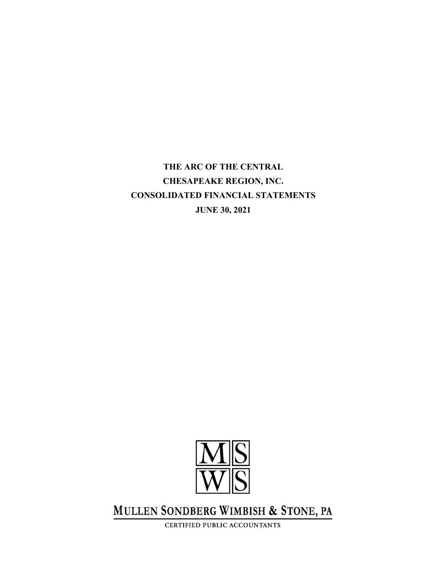THE ARC OF THE CENTRAL CHESAPEAKE REGION, INC. CONSOLIDATED FINANCIAL STATEMENTS JUNE 30, 2021



MULLEN SONDBERG WIMBISH & STONE, PA

CERTIFIED PUBLIC ACCOUNTANTS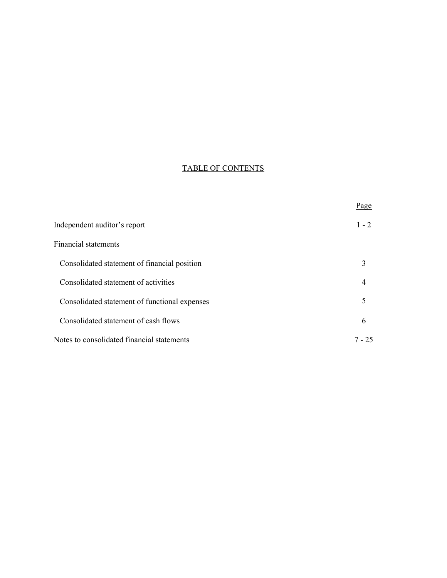# TABLE OF CONTENTS

|                                               | Page    |
|-----------------------------------------------|---------|
| Independent auditor's report                  | $1 - 2$ |
| <b>Financial statements</b>                   |         |
| Consolidated statement of financial position  | 3       |
| Consolidated statement of activities          | 4       |
| Consolidated statement of functional expenses | 5       |
| Consolidated statement of cash flows          | 6       |
| Notes to consolidated financial statements    | 7 - 25  |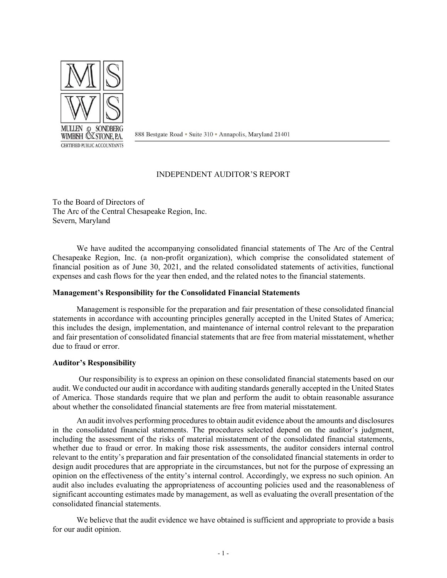

888 Bestgate Road · Suite 310 · Annapolis, Maryland 21401

# INDEPENDENT AUDITOR'S REPORT

To the Board of Directors of The Arc of the Central Chesapeake Region, Inc. Severn, Maryland

 We have audited the accompanying consolidated financial statements of The Arc of the Central Chesapeake Region, Inc. (a non-profit organization), which comprise the consolidated statement of financial position as of June 30, 2021, and the related consolidated statements of activities, functional expenses and cash flows for the year then ended, and the related notes to the financial statements.

# Management's Responsibility for the Consolidated Financial Statements

 Management is responsible for the preparation and fair presentation of these consolidated financial statements in accordance with accounting principles generally accepted in the United States of America; this includes the design, implementation, and maintenance of internal control relevant to the preparation and fair presentation of consolidated financial statements that are free from material misstatement, whether due to fraud or error.

#### Auditor's Responsibility

Our responsibility is to express an opinion on these consolidated financial statements based on our audit. We conducted our audit in accordance with auditing standards generally accepted in the United States of America. Those standards require that we plan and perform the audit to obtain reasonable assurance about whether the consolidated financial statements are free from material misstatement.

 An audit involves performing procedures to obtain audit evidence about the amounts and disclosures in the consolidated financial statements. The procedures selected depend on the auditor's judgment, including the assessment of the risks of material misstatement of the consolidated financial statements, whether due to fraud or error. In making those risk assessments, the auditor considers internal control relevant to the entity's preparation and fair presentation of the consolidated financial statements in order to design audit procedures that are appropriate in the circumstances, but not for the purpose of expressing an opinion on the effectiveness of the entity's internal control. Accordingly, we express no such opinion. An audit also includes evaluating the appropriateness of accounting policies used and the reasonableness of significant accounting estimates made by management, as well as evaluating the overall presentation of the consolidated financial statements.

We believe that the audit evidence we have obtained is sufficient and appropriate to provide a basis for our audit opinion.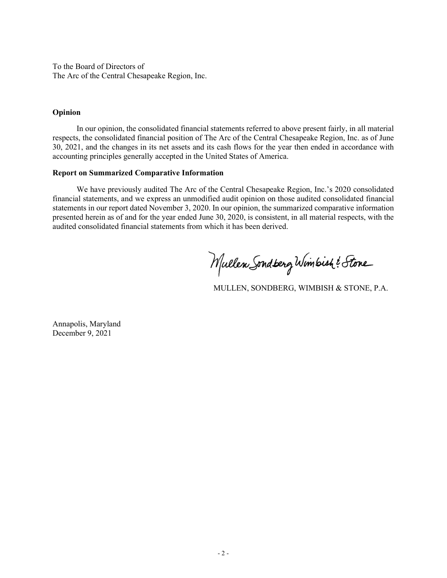To the Board of Directors of The Arc of the Central Chesapeake Region, Inc.

# Opinion

 In our opinion, the consolidated financial statements referred to above present fairly, in all material respects, the consolidated financial position of The Arc of the Central Chesapeake Region, Inc. as of June 30, 2021, and the changes in its net assets and its cash flows for the year then ended in accordance with accounting principles generally accepted in the United States of America.

# Report on Summarized Comparative Information

We have previously audited The Arc of the Central Chesapeake Region, Inc.'s 2020 consolidated financial statements, and we express an unmodified audit opinion on those audited consolidated financial statements in our report dated November 3, 2020. In our opinion, the summarized comparative information presented herein as of and for the year ended June 30, 2020, is consistent, in all material respects, with the audited consolidated financial statements from which it has been derived.

Mullen Sondberg Wimbish & Stone

MULLEN, SONDBERG, WIMBISH & STONE, P.A.

Annapolis, Maryland December 9, 2021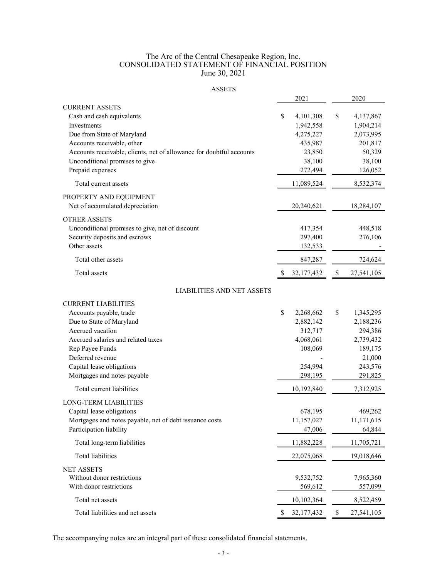#### The Arc of the Central Chesapeake Region, Inc. CONSOLIDATED STATEMENT OF FINANCIAL POSITION June 30, 2021

| ASSETS |
|--------|
|--------|

| The Arc of the Central Chesapeake Region, Inc.<br>CONSOLIDATED STATEMENT OF FINANCIAL POSITION<br>June 30, 2021                                                                                                                                             |              |                                                                                 |                                                                                                 |
|-------------------------------------------------------------------------------------------------------------------------------------------------------------------------------------------------------------------------------------------------------------|--------------|---------------------------------------------------------------------------------|-------------------------------------------------------------------------------------------------|
|                                                                                                                                                                                                                                                             |              |                                                                                 |                                                                                                 |
| <b>ASSETS</b>                                                                                                                                                                                                                                               |              |                                                                                 |                                                                                                 |
|                                                                                                                                                                                                                                                             |              | 2021                                                                            | 2020                                                                                            |
| <b>CURRENT ASSETS</b><br>Cash and cash equivalents<br>Investments<br>Due from State of Maryland<br>Accounts receivable, other<br>Accounts receivable, clients, net of allowance for doubtful accounts<br>Unconditional promises to give<br>Prepaid expenses | \$           | 4,101,308<br>1,942,558<br>4,275,227<br>435,987<br>23,850<br>38,100<br>272,494   | \$<br>4,137,867<br>1,904,214<br>2,073,995<br>201,817<br>50,329<br>38,100<br>126,052             |
| Total current assets                                                                                                                                                                                                                                        |              | 11,089,524                                                                      | 8,532,374                                                                                       |
| PROPERTY AND EQUIPMENT<br>Net of accumulated depreciation                                                                                                                                                                                                   |              | 20,240,621                                                                      | 18,284,107                                                                                      |
| <b>OTHER ASSETS</b><br>Unconditional promises to give, net of discount<br>Security deposits and escrows<br>Other assets                                                                                                                                     |              | 417,354<br>297,400<br>132,533                                                   | 448,518<br>276,106                                                                              |
| Total other assets                                                                                                                                                                                                                                          |              | 847,287                                                                         | 724,624                                                                                         |
| Total assets                                                                                                                                                                                                                                                | Y.           | 32,177,432                                                                      | \$<br>27,541,105                                                                                |
| <b>LIABILITIES AND NET ASSETS</b>                                                                                                                                                                                                                           |              |                                                                                 |                                                                                                 |
| <b>CURRENT LIABILITIES</b><br>Accounts payable, trade<br>Due to State of Maryland<br>Accrued vacation<br>Accrued salaries and related taxes<br>Rep Payee Funds<br>Deferred revenue<br>Capital lease obligations<br>Mortgages and notes payable              | $\mathbb{S}$ | 2,268,662<br>2,882,142<br>312,717<br>4,068,061<br>108,069<br>254,994<br>298,195 | \$<br>1,345,295<br>2,188,236<br>294,386<br>2,739,432<br>189,175<br>21,000<br>243,576<br>291,825 |
| Total current liabilities                                                                                                                                                                                                                                   |              | 10,192,840                                                                      | 7,312,925                                                                                       |
| <b>LONG-TERM LIABILITIES</b><br>Capital lease obligations<br>Mortgages and notes payable, net of debt issuance costs<br>Participation liability                                                                                                             |              | 678,195<br>11,157,027<br>47,006                                                 | 469,262<br>11,171,615<br>64,844                                                                 |
| Total long-term liabilities                                                                                                                                                                                                                                 |              | 11,882,228                                                                      | 11,705,721                                                                                      |
| Total liabilities                                                                                                                                                                                                                                           |              | 22,075,068                                                                      | 19,018,646                                                                                      |
| <b>NET ASSETS</b><br>Without donor restrictions<br>With donor restrictions                                                                                                                                                                                  |              | 9,532,752<br>569,612                                                            | 7,965,360<br>557,099                                                                            |
| Total net assets                                                                                                                                                                                                                                            |              | 10,102,364                                                                      | 8,522,459                                                                                       |
| Total liabilities and net assets                                                                                                                                                                                                                            |              | 32,177,432                                                                      | \$<br>27,541,105                                                                                |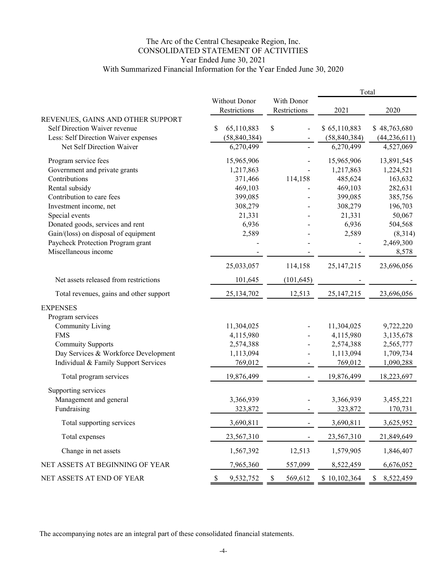# The Arc of the Central Chesapeake Region, Inc. CONSOLIDATED STATEMENT OF ACTIVITIES Year Ended June 30, 2021<br>With Summarized Financial Information for the Year Ended June 30, 2020

|                                                                                                                                         |                                                   | With Summarized Financial Information for the Year Ended June 30, 2020 | Total                                  |                                        |
|-----------------------------------------------------------------------------------------------------------------------------------------|---------------------------------------------------|------------------------------------------------------------------------|----------------------------------------|----------------------------------------|
|                                                                                                                                         | Without Donor                                     | With Donor                                                             |                                        |                                        |
| REVENUES, GAINS AND OTHER SUPPORT<br>Self Direction Waiver revenue<br>Less: Self Direction Waiver expenses<br>Net Self Direction Waiver | Restrictions<br>65,110,883<br>S<br>(58, 840, 384) | Restrictions<br>\$                                                     | 2021<br>\$65,110,883<br>(58, 840, 384) | 2020<br>\$48,763,680<br>(44, 236, 611) |
|                                                                                                                                         | 6,270,499                                         | $\sim$                                                                 | 6,270,499                              | 4,527,069                              |
| Program service fees<br>Government and private grants                                                                                   | 15,965,906<br>1,217,863                           |                                                                        | 15,965,906<br>1,217,863                | 13,891,545<br>1,224,521                |
| Contributions                                                                                                                           | 371,466                                           | 114,158                                                                | 485,624                                | 163,632                                |
| Rental subsidy                                                                                                                          | 469,103                                           |                                                                        | 469,103                                | 282,631                                |
| Contribution to care fees                                                                                                               | 399,085                                           |                                                                        | 399,085                                | 385,756                                |
| Investment income, net                                                                                                                  | 308,279                                           |                                                                        | 308,279                                | 196,703                                |
| Special events                                                                                                                          | 21,331                                            |                                                                        | 21,331                                 | 50,067                                 |
| Donated goods, services and rent                                                                                                        | 6,936                                             |                                                                        | 6,936                                  | 504,568                                |
| Gain/(loss) on disposal of equipment                                                                                                    | 2,589                                             | $\sim$                                                                 | 2,589                                  | (8,314)                                |
| Paycheck Protection Program grant<br>Miscellaneous income                                                                               |                                                   |                                                                        |                                        | 2,469,300                              |
|                                                                                                                                         |                                                   |                                                                        |                                        | 8,578                                  |
|                                                                                                                                         | 25,033,057                                        | 114,158                                                                | 25, 147, 215                           | 23,696,056                             |
| Net assets released from restrictions                                                                                                   | 101,645                                           | (101, 645)                                                             |                                        |                                        |
| Total revenues, gains and other support                                                                                                 | 25,134,702                                        | 12,513                                                                 | 25, 147, 215                           | 23,696,056                             |
| <b>EXPENSES</b>                                                                                                                         |                                                   |                                                                        |                                        |                                        |
| Program services                                                                                                                        |                                                   |                                                                        |                                        |                                        |
| <b>Community Living</b>                                                                                                                 | 11,304,025                                        |                                                                        | 11,304,025                             | 9,722,220                              |
| <b>FMS</b>                                                                                                                              | 4,115,980                                         |                                                                        | 4,115,980                              | 3,135,678                              |
| <b>Commuity Supports</b><br>Day Services & Workforce Development                                                                        | 2,574,388<br>1,113,094                            |                                                                        | 2,574,388<br>1,113,094                 | 2,565,777<br>1,709,734                 |
| Individual & Family Support Services                                                                                                    | 769,012                                           |                                                                        | 769,012                                | 1,090,288                              |
| Total program services                                                                                                                  | 19,876,499                                        |                                                                        | 19,876,499                             | 18,223,697                             |
| Supporting services                                                                                                                     |                                                   |                                                                        |                                        |                                        |
| Management and general                                                                                                                  | 3,366,939                                         |                                                                        | 3,366,939                              | 3,455,221                              |
| Fundraising                                                                                                                             | 323,872                                           |                                                                        | 323,872                                | 170,731                                |
| Total supporting services                                                                                                               | 3,690,811                                         | $\mathbf{u}$                                                           | 3,690,811                              | 3,625,952                              |
|                                                                                                                                         |                                                   |                                                                        |                                        |                                        |
| Total expenses                                                                                                                          | 23,567,310                                        |                                                                        | 23,567,310                             | 21,849,649                             |
| Change in net assets                                                                                                                    | 1,567,392                                         | 12,513                                                                 | 1,579,905                              | 1,846,407                              |
| NET ASSETS AT BEGINNING OF YEAR                                                                                                         | 7,965,360                                         | 557,099                                                                | 8,522,459                              | 6,676,052                              |
| NET ASSETS AT END OF YEAR                                                                                                               | 9,532,752                                         | 569,612<br>\$                                                          | \$10,102,364                           | 8,522,459<br><sup>S</sup>              |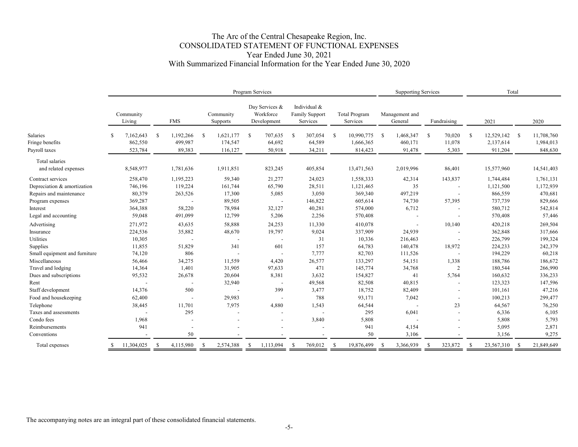# The Arc of the Central Chesapeake Region, Inc. CONSOLIDATED STATEMENT OF FUNCTIONAL EXPENSES Year Ended June 30, 2021 With Summarized Financial Information for the Year Ended June 30, 2020

|    |                                         |                                                                                                          |                                                      | Year Ended June 30, 2021                   |                                                                | The Arc of the Central Chesapeake Region, Inc.<br>CONSOLIDATED STATEMENT OF FUNCTIONAL EXPENSES<br>With Summarized Financial Information for the Year Ended June 30, 2020 |                                                          |                                                                 |                                                                        |                                              |                                                                                       |
|----|-----------------------------------------|----------------------------------------------------------------------------------------------------------|------------------------------------------------------|--------------------------------------------|----------------------------------------------------------------|---------------------------------------------------------------------------------------------------------------------------------------------------------------------------|----------------------------------------------------------|-----------------------------------------------------------------|------------------------------------------------------------------------|----------------------------------------------|---------------------------------------------------------------------------------------|
|    |                                         |                                                                                                          |                                                      |                                            |                                                                |                                                                                                                                                                           |                                                          |                                                                 |                                                                        |                                              |                                                                                       |
|    |                                         | <b>FMS</b>                                                                                               | Community<br>Supports                                | Day Services &<br>Workforce<br>Development | Individual &<br>Family Support<br>Services                     | <b>Total Program</b><br>Services                                                                                                                                          | Management and<br>General                                | Fundraising                                                     |                                                                        | 2021                                         | 2020                                                                                  |
| -S | -8<br>862,550<br>523,784                | 1,192,266<br>499,987<br>89,383                                                                           | 1,621,177<br>174,547<br>116,127                      | 707,635<br>- \$<br>64,692<br>50,918        | 307,054<br>- S<br>64,589<br>34,211                             | 10,990,775<br>- 8<br>1,666,365<br>814,423                                                                                                                                 | 1,468,347<br>- S<br>460,171<br>91,478                    | 70,020<br>-8<br>11,078<br>5,303                                 | - \$                                                                   | 2,137,614<br>911,204                         | 11,708,760<br>1,984,013<br>848,630                                                    |
|    |                                         | 1,781,636                                                                                                | 1,911,851                                            | 823,245                                    | 405,854                                                        | 13,471,563                                                                                                                                                                | 2,019,996                                                | 86,401                                                          |                                                                        | 15,577,960                                   | 14,541,403                                                                            |
|    | 258,470<br>746,196<br>80,379<br>369,287 | 1,195,223<br>119,224<br>263,526<br>$\overline{a}$                                                        | 59,340<br>161,744<br>17,300<br>89,505                | 21,277<br>65,790<br>5,085<br>$\sim$        | 24,023<br>28,511<br>3,050<br>146,822                           | 1,558,333<br>1,121,465<br>369,340<br>605,614                                                                                                                              | 42,314<br>35<br>497,219<br>74,730                        | 143,837<br>$\overline{a}$<br>$\overline{\phantom{a}}$<br>57,395 |                                                                        | 1,744,484<br>1,121,500<br>866,559<br>737,739 | 1,761,131<br>1,172,939<br>470,681<br>829,666                                          |
|    | 59,048                                  | 491,099                                                                                                  | 12,799                                               | 5,206                                      | 2,256                                                          | 570,408                                                                                                                                                                   | $\sim$                                                   | $\overline{a}$<br>$\overline{a}$                                |                                                                        | 570,408                                      | 542,814<br>57,446                                                                     |
|    | 224,536<br>10,305                       | 35,882<br>$\overline{\phantom{a}}$                                                                       | 48,670<br>$\overline{a}$                             | 19,797<br>$\sim$                           | 9,024<br>31                                                    | 337,909<br>10,336                                                                                                                                                         | 24,939<br>216,463                                        | $\overline{a}$<br>$\overline{a}$                                |                                                                        | 362,848<br>226,799                           | 269,504<br>317,666<br>199,324                                                         |
|    | 74,120<br>56,466                        | 806<br>34,275                                                                                            | $\overline{\phantom{a}}$<br>11,559                   | $\overline{a}$<br>4,420                    | 7,777<br>26,577                                                | 82,703<br>133,297                                                                                                                                                         | 111,526<br>54,151                                        | 1,338                                                           |                                                                        | 194,229<br>188,786                           | 242,379<br>60,218<br>186,672                                                          |
|    | 95,532<br>$\overline{a}$                | 26,678<br>$\sim$                                                                                         | 20,604<br>32,940                                     | 8,381<br>$\sim$                            | 3,632<br>49,568                                                | 154,827<br>82,508                                                                                                                                                         | 41<br>40,815                                             | 5,764<br>$\overline{a}$                                         |                                                                        | 160,632<br>123,323                           | 266,990<br>336,233<br>147,596                                                         |
|    | 14,376<br>62,400                        | 500<br>$\overline{\phantom{a}}$                                                                          | $\overline{\phantom{a}}$<br>29,983                   | 399<br>$\sim$                              | 3,477<br>788                                                   | 18,752<br>93,171                                                                                                                                                          | 82,409<br>7,042<br>$\overline{\phantom{a}}$              | $\overline{\phantom{0}}$<br>$\sim$                              |                                                                        | 101,161<br>100,213                           | 47,216<br>299,477<br>76,250                                                           |
|    | 1,968                                   | 295<br>$\overline{\phantom{a}}$<br>$\overline{\phantom{a}}$                                              | $\overline{\phantom{a}}$<br>$\overline{\phantom{0}}$ | $\overline{\phantom{a}}$<br>$\overline{a}$ | $\overline{\phantom{a}}$<br>3,840<br>$\overline{\phantom{a}}$  | 295<br>5,808                                                                                                                                                              | 6,041<br>$\overline{\phantom{a}}$                        | $\overline{\phantom{a}}$<br>$\overline{\phantom{0}}$            |                                                                        | 6,336<br>5,808                               | 6,105<br>5,793<br>2,871                                                               |
|    |                                         | 50                                                                                                       |                                                      |                                            |                                                                | 50                                                                                                                                                                        | 3,106                                                    |                                                                 |                                                                        | 3,156                                        | 9,275                                                                                 |
|    |                                         | Community<br>Living<br>7,162,643<br>8,548,977<br>364,388<br>271,972<br>11,855<br>14,364<br>38,445<br>941 | 58,220<br>43,635<br>51,829<br>1,401<br>11,701        | 78,984<br>58,888<br>341<br>31,905<br>7,975 | Program Services<br>32,127<br>24,253<br>601<br>97,633<br>4,880 | 40,281<br>11,330<br>157<br>471<br>1,543                                                                                                                                   | 574,000<br>410,078<br>64,783<br>145,774<br>64,544<br>941 | 6,712<br>$\sim$<br>140,478<br>34,768<br>4,154                   | <b>Supporting Services</b><br>10,140<br>18,972<br>$\overline{2}$<br>23 |                                              | Total<br>12,529,142 \$<br>580,712<br>420,218<br>224,233<br>180,544<br>64,567<br>5,095 |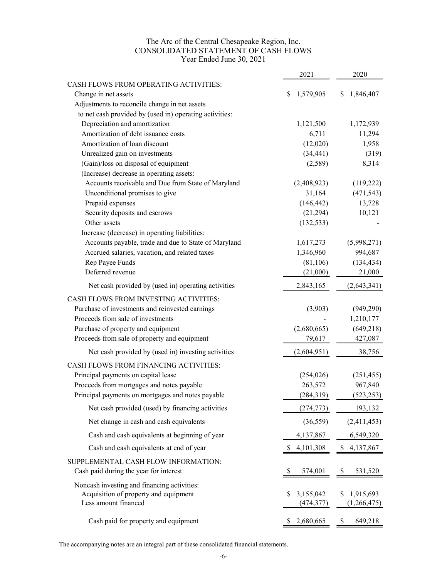# The Arc of the Central Chesapeake Region, Inc. CONSOLIDATED STATEMENT OF CASH FLOWS Year Ended June 30, 2021

| The Arc of the Central Chesapeake Region, Inc.<br>CONSOLIDATED STATEMENT OF CASH FLOWS                       |                               |                            |
|--------------------------------------------------------------------------------------------------------------|-------------------------------|----------------------------|
|                                                                                                              |                               |                            |
|                                                                                                              |                               |                            |
|                                                                                                              |                               |                            |
| Year Ended June 30, 2021                                                                                     |                               |                            |
|                                                                                                              | 2021                          | 2020                       |
| CASH FLOWS FROM OPERATING ACTIVITIES:                                                                        |                               |                            |
| Change in net assets                                                                                         | \$<br>1,579,905               | 1,846,407<br>S.            |
| Adjustments to reconcile change in net assets<br>to net cash provided by (used in) operating activities:     |                               |                            |
| Depreciation and amortization                                                                                | 1,121,500                     | 1,172,939                  |
| Amortization of debt issuance costs                                                                          | 6,711                         | 11,294                     |
| Amortization of loan discount                                                                                | (12,020)                      | 1,958                      |
| Unrealized gain on investments                                                                               | (34, 441)                     | (319)                      |
| (Gain)/loss on disposal of equipment<br>(Increase) decrease in operating assets:                             | (2,589)                       | 8,314                      |
| Accounts receivable and Due from State of Maryland                                                           | (2,408,923)                   | (119, 222)                 |
| Unconditional promises to give                                                                               | 31,164                        | (471, 543)                 |
| Prepaid expenses<br>Security deposits and escrows                                                            | (146, 442)<br>(21,294)        | 13,728<br>10,121           |
| Other assets                                                                                                 | (132, 533)                    |                            |
| Increase (decrease) in operating liabilities:                                                                |                               |                            |
| Accounts payable, trade and due to State of Maryland                                                         | 1,617,273                     | (5,998,271)                |
| Accrued salaries, vacation, and related taxes                                                                | 1,346,960                     | 994,687                    |
| Rep Payee Funds                                                                                              | (81, 106)                     | (134, 434)                 |
| Deferred revenue                                                                                             | (21,000)                      | 21,000                     |
| Net cash provided by (used in) operating activities                                                          | 2,843,165                     | (2, 643, 341)              |
| CASH FLOWS FROM INVESTING ACTIVITIES:                                                                        |                               |                            |
| Purchase of investments and reinvested earnings                                                              | (3,903)                       | (949,290)                  |
| Proceeds from sale of investments                                                                            |                               | 1,210,177                  |
| Purchase of property and equipment<br>Proceeds from sale of property and equipment                           | (2,680,665)<br>79,617         | (649,218)<br>427,087       |
| Net cash provided by (used in) investing activities                                                          |                               |                            |
|                                                                                                              | (2,604,951)                   | 38,756                     |
| CASH FLOWS FROM FINANCING ACTIVITIES:                                                                        |                               |                            |
| Principal payments on capital lease<br>Proceeds from mortgages and notes payable                             | (254, 026)<br>263,572         | (251, 455)<br>967,840      |
| Principal payments on mortgages and notes payable                                                            | (284, 319)                    | (523, 253)                 |
| Net cash provided (used) by financing activities                                                             | (274, 773)                    | 193,132                    |
| Net change in cash and cash equivalents                                                                      | (36, 559)                     | (2,411,453)                |
| Cash and cash equivalents at beginning of year                                                               | 4,137,867                     | 6,549,320                  |
| Cash and cash equivalents at end of year                                                                     | 4,101,308                     | \$4,137,867                |
|                                                                                                              |                               |                            |
| SUPPLEMENTAL CASH FLOW INFORMATION:<br>Cash paid during the year for interest                                | 574,001                       | 531,520<br>S               |
| Noncash investing and financing activities:<br>Acquisition of property and equipment<br>Less amount financed | 3,155,042<br>\$<br>(474, 377) | \$1,915,693<br>(1,266,475) |
|                                                                                                              |                               |                            |
| Cash paid for property and equipment                                                                         | 2,680,665                     | 649,218<br>\$              |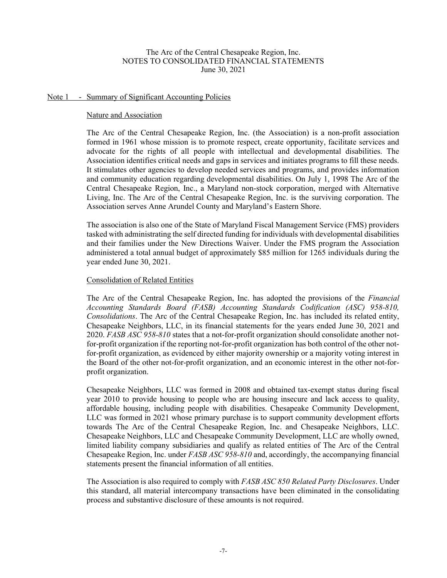# Note 1 - Summary of Significant Accounting Policies

# Nature and Association

The Arc of the Central Chesapeake Region, Inc. (the Association) is a non-profit association formed in 1961 whose mission is to promote respect, create opportunity, facilitate services and advocate for the rights of all people with intellectual and developmental disabilities. The Association identifies critical needs and gaps in services and initiates programs to fill these needs. It stimulates other agencies to develop needed services and programs, and provides information and community education regarding developmental disabilities. On July 1, 1998 The Arc of the Central Chesapeake Region, Inc., a Maryland non-stock corporation, merged with Alternative Living, Inc. The Arc of the Central Chesapeake Region, Inc. is the surviving corporation. The Association serves Anne Arundel County and Maryland's Eastern Shore.

The association is also one of the State of Maryland Fiscal Management Service (FMS) providers tasked with administrating the self directed funding for individuals with developmental disabilities and their families under the New Directions Waiver. Under the FMS program the Association administered a total annual budget of approximately \$85 million for 1265 individuals during the year ended June 30, 2021.

# Consolidation of Related Entities

The Arc of the Central Chesapeake Region, Inc. has adopted the provisions of the Financial Accounting Standards Board (FASB) Accounting Standards Codification (ASC) 958-810, Consolidations. The Arc of the Central Chesapeake Region, Inc. has included its related entity, Chesapeake Neighbors, LLC, in its financial statements for the years ended June 30, 2021 and 2020. FASB ASC 958-810 states that a not-for-profit organization should consolidate another notfor-profit organization if the reporting not-for-profit organization has both control of the other notfor-profit organization, as evidenced by either majority ownership or a majority voting interest in the Board of the other not-for-profit organization, and an economic interest in the other not-forprofit organization.

Chesapeake Neighbors, LLC was formed in 2008 and obtained tax-exempt status during fiscal year 2010 to provide housing to people who are housing insecure and lack access to quality, affordable housing, including people with disabilities. Chesapeake Community Development, LLC was formed in 2021 whose primary purchase is to support community development efforts towards The Arc of the Central Chesapeake Region, Inc. and Chesapeake Neighbors, LLC. Chesapeake Neighbors, LLC and Chesapeake Community Development, LLC are wholly owned, limited liability company subsidiaries and qualify as related entities of The Arc of the Central Chesapeake Region, Inc. under FASB ASC 958-810 and, accordingly, the accompanying financial statements present the financial information of all entities.

The Association is also required to comply with FASB ASC 850 Related Party Disclosures. Under this standard, all material intercompany transactions have been eliminated in the consolidating process and substantive disclosure of these amounts is not required.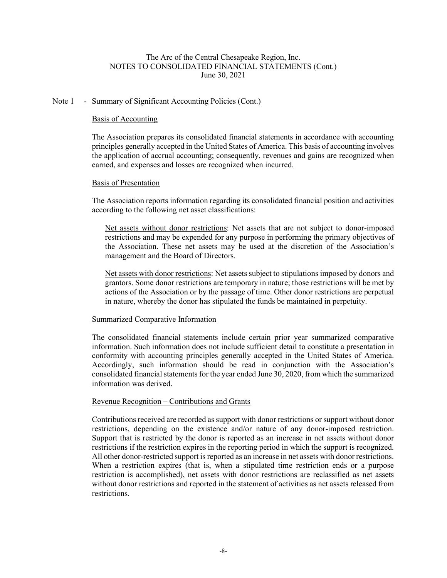# Note 1 - Summary of Significant Accounting Policies (Cont.)

# Basis of Accounting

The Association prepares its consolidated financial statements in accordance with accounting principles generally accepted in the United States of America. This basis of accounting involves the application of accrual accounting; consequently, revenues and gains are recognized when earned, and expenses and losses are recognized when incurred.

# Basis of Presentation

The Association reports information regarding its consolidated financial position and activities according to the following net asset classifications:

Net assets without donor restrictions: Net assets that are not subject to donor-imposed restrictions and may be expended for any purpose in performing the primary objectives of the Association. These net assets may be used at the discretion of the Association's management and the Board of Directors.

Net assets with donor restrictions: Net assets subject to stipulations imposed by donors and grantors. Some donor restrictions are temporary in nature; those restrictions will be met by actions of the Association or by the passage of time. Other donor restrictions are perpetual in nature, whereby the donor has stipulated the funds be maintained in perpetuity.

#### Summarized Comparative Information

The consolidated financial statements include certain prior year summarized comparative information. Such information does not include sufficient detail to constitute a presentation in conformity with accounting principles generally accepted in the United States of America. Accordingly, such information should be read in conjunction with the Association's consolidated financial statements for the year ended June 30, 2020, from which the summarized information was derived.

# Revenue Recognition – Contributions and Grants

Contributions received are recorded as support with donor restrictions or support without donor restrictions, depending on the existence and/or nature of any donor-imposed restriction. Support that is restricted by the donor is reported as an increase in net assets without donor restrictions if the restriction expires in the reporting period in which the support is recognized. All other donor-restricted support is reported as an increase in net assets with donor restrictions. When a restriction expires (that is, when a stipulated time restriction ends or a purpose restriction is accomplished), net assets with donor restrictions are reclassified as net assets without donor restrictions and reported in the statement of activities as net assets released from restrictions.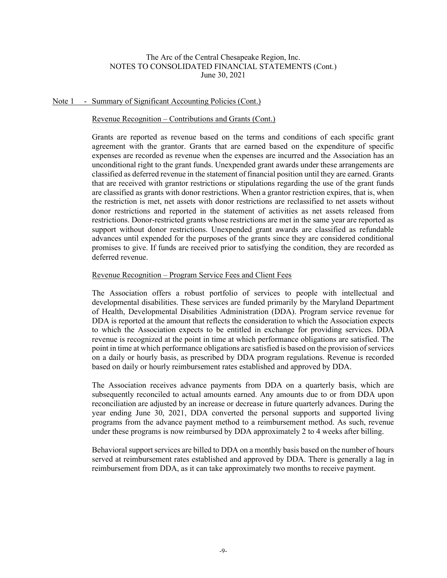#### Note 1 - Summary of Significant Accounting Policies (Cont.)

#### Revenue Recognition – Contributions and Grants (Cont.)

Grants are reported as revenue based on the terms and conditions of each specific grant agreement with the grantor. Grants that are earned based on the expenditure of specific expenses are recorded as revenue when the expenses are incurred and the Association has an unconditional right to the grant funds. Unexpended grant awards under these arrangements are classified as deferred revenue in the statement of financial position until they are earned. Grants that are received with grantor restrictions or stipulations regarding the use of the grant funds are classified as grants with donor restrictions. When a grantor restriction expires, that is, when the restriction is met, net assets with donor restrictions are reclassified to net assets without donor restrictions and reported in the statement of activities as net assets released from restrictions. Donor-restricted grants whose restrictions are met in the same year are reported as support without donor restrictions. Unexpended grant awards are classified as refundable advances until expended for the purposes of the grants since they are considered conditional promises to give. If funds are received prior to satisfying the condition, they are recorded as deferred revenue.

#### Revenue Recognition – Program Service Fees and Client Fees

The Association offers a robust portfolio of services to people with intellectual and developmental disabilities. These services are funded primarily by the Maryland Department of Health, Developmental Disabilities Administration (DDA). Program service revenue for DDA is reported at the amount that reflects the consideration to which the Association expects to which the Association expects to be entitled in exchange for providing services. DDA revenue is recognized at the point in time at which performance obligations are satisfied. The point in time at which performance obligations are satisfied is based on the provision of services on a daily or hourly basis, as prescribed by DDA program regulations. Revenue is recorded based on daily or hourly reimbursement rates established and approved by DDA.

The Association receives advance payments from DDA on a quarterly basis, which are subsequently reconciled to actual amounts earned. Any amounts due to or from DDA upon reconciliation are adjusted by an increase or decrease in future quarterly advances. During the year ending June 30, 2021, DDA converted the personal supports and supported living programs from the advance payment method to a reimbursement method. As such, revenue under these programs is now reimbursed by DDA approximately 2 to 4 weeks after billing.

Behavioral support services are billed to DDA on a monthly basis based on the number of hours served at reimbursement rates established and approved by DDA. There is generally a lag in reimbursement from DDA, as it can take approximately two months to receive payment.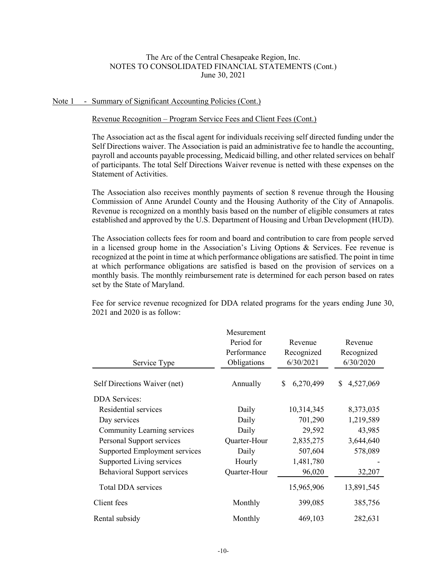# Note 1 - Summary of Significant Accounting Policies (Cont.)

# Revenue Recognition – Program Service Fees and Client Fees (Cont.)

The Association act as the fiscal agent for individuals receiving self directed funding under the Self Directions waiver. The Association is paid an administrative fee to handle the accounting, payroll and accounts payable processing, Medicaid billing, and other related services on behalf of participants. The total Self Directions Waiver revenue is netted with these expenses on the Statement of Activities.

The Association also receives monthly payments of section 8 revenue through the Housing Commission of Anne Arundel County and the Housing Authority of the City of Annapolis. Revenue is recognized on a monthly basis based on the number of eligible consumers at rates established and approved by the U.S. Department of Housing and Urban Development (HUD).

| The Transformation also received monthly payments of section of revenue unough the from $\eta$<br>Commission of Anne Arundel County and the Housing Authority of the City of Annapolis.<br>Revenue is recognized on a monthly basis based on the number of eligible consumers at rates<br>established and approved by the U.S. Department of Housing and Urban Development (HUD).                                                                                                                                        |                                                        |                                    |                                    |  |
|--------------------------------------------------------------------------------------------------------------------------------------------------------------------------------------------------------------------------------------------------------------------------------------------------------------------------------------------------------------------------------------------------------------------------------------------------------------------------------------------------------------------------|--------------------------------------------------------|------------------------------------|------------------------------------|--|
| The Association collects fees for room and board and contribution to care from people served<br>in a licensed group home in the Association's Living Options & Services. Fee revenue is<br>recognized at the point in time at which performance obligations are satisfied. The point in time<br>at which performance obligations are satisfied is based on the provision of services on a<br>monthly basis. The monthly reimbursement rate is determined for each person based on rates<br>set by the State of Maryland. |                                                        |                                    |                                    |  |
| Fee for service revenue recognized for DDA related programs for the years ending June 30,<br>2021 and 2020 is as follow:                                                                                                                                                                                                                                                                                                                                                                                                 |                                                        |                                    |                                    |  |
| Service Type                                                                                                                                                                                                                                                                                                                                                                                                                                                                                                             | Mesurement<br>Period for<br>Performance<br>Obligations | Revenue<br>Recognized<br>6/30/2021 | Revenue<br>Recognized<br>6/30/2020 |  |
| Self Directions Waiver (net)                                                                                                                                                                                                                                                                                                                                                                                                                                                                                             | Annually                                               | \$6,270,499                        | \$4,527,069                        |  |
| <b>DDA</b> Services:                                                                                                                                                                                                                                                                                                                                                                                                                                                                                                     |                                                        |                                    |                                    |  |
| Residential services                                                                                                                                                                                                                                                                                                                                                                                                                                                                                                     | Daily                                                  | 10,314,345                         | 8,373,035                          |  |
| Day services                                                                                                                                                                                                                                                                                                                                                                                                                                                                                                             | Daily                                                  | 701,290                            | 1,219,589                          |  |
| Community Learning services                                                                                                                                                                                                                                                                                                                                                                                                                                                                                              | Daily                                                  | 29,592                             | 43,985                             |  |
| Personal Support services                                                                                                                                                                                                                                                                                                                                                                                                                                                                                                | Quarter-Hour                                           | 2,835,275                          | 3,644,640                          |  |
| Supported Employment services                                                                                                                                                                                                                                                                                                                                                                                                                                                                                            | Daily                                                  | 507,604                            | 578,089                            |  |
| Supported Living services                                                                                                                                                                                                                                                                                                                                                                                                                                                                                                | Hourly                                                 | 1,481,780                          |                                    |  |
| <b>Behavioral Support services</b>                                                                                                                                                                                                                                                                                                                                                                                                                                                                                       | Quarter-Hour                                           | 96,020                             | 32,207                             |  |
| <b>Total DDA services</b>                                                                                                                                                                                                                                                                                                                                                                                                                                                                                                |                                                        | 15,965,906                         | 13,891,545                         |  |
| Client fees                                                                                                                                                                                                                                                                                                                                                                                                                                                                                                              | Monthly                                                | 399,085                            | 385,756                            |  |
| Rental subsidy                                                                                                                                                                                                                                                                                                                                                                                                                                                                                                           | Monthly                                                | 469,103                            | 282,631                            |  |
|                                                                                                                                                                                                                                                                                                                                                                                                                                                                                                                          |                                                        |                                    |                                    |  |
|                                                                                                                                                                                                                                                                                                                                                                                                                                                                                                                          | $-10-$                                                 |                                    |                                    |  |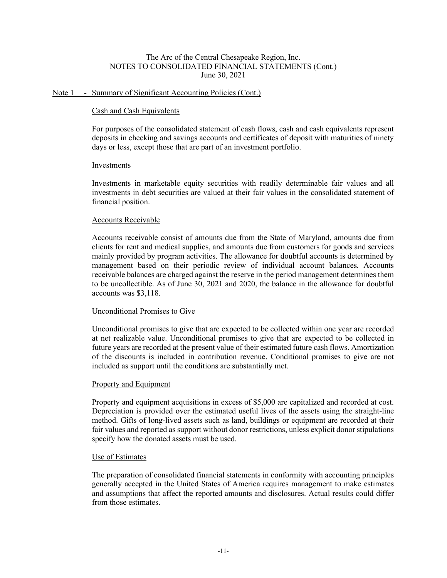# Note 1 - Summary of Significant Accounting Policies (Cont.)

# Cash and Cash Equivalents

For purposes of the consolidated statement of cash flows, cash and cash equivalents represent deposits in checking and savings accounts and certificates of deposit with maturities of ninety days or less, except those that are part of an investment portfolio.

# Investments

Investments in marketable equity securities with readily determinable fair values and all investments in debt securities are valued at their fair values in the consolidated statement of financial position.

# Accounts Receivable

Accounts receivable consist of amounts due from the State of Maryland, amounts due from clients for rent and medical supplies, and amounts due from customers for goods and services mainly provided by program activities. The allowance for doubtful accounts is determined by management based on their periodic review of individual account balances. Accounts receivable balances are charged against the reserve in the period management determines them to be uncollectible. As of June 30, 2021 and 2020, the balance in the allowance for doubtful accounts was \$3,118.

# Unconditional Promises to Give

Unconditional promises to give that are expected to be collected within one year are recorded at net realizable value. Unconditional promises to give that are expected to be collected in future years are recorded at the present value of their estimated future cash flows. Amortization of the discounts is included in contribution revenue. Conditional promises to give are not included as support until the conditions are substantially met.

# Property and Equipment

Property and equipment acquisitions in excess of \$5,000 are capitalized and recorded at cost. Depreciation is provided over the estimated useful lives of the assets using the straight-line method. Gifts of long-lived assets such as land, buildings or equipment are recorded at their fair values and reported as support without donor restrictions, unless explicit donor stipulations specify how the donated assets must be used.

### Use of Estimates

The preparation of consolidated financial statements in conformity with accounting principles generally accepted in the United States of America requires management to make estimates and assumptions that affect the reported amounts and disclosures. Actual results could differ from those estimates.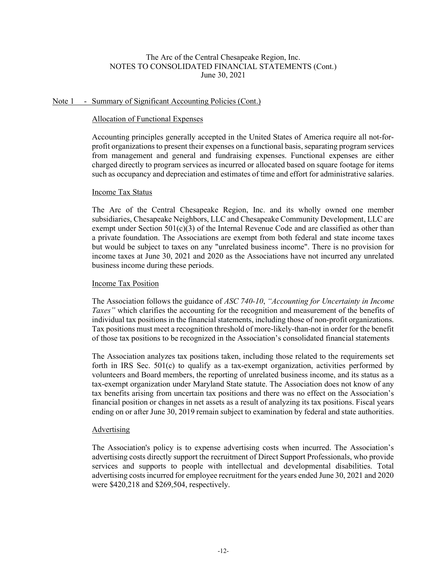# Note 1 - Summary of Significant Accounting Policies (Cont.)

# Allocation of Functional Expenses

Accounting principles generally accepted in the United States of America require all not-forprofit organizations to present their expenses on a functional basis, separating program services from management and general and fundraising expenses. Functional expenses are either charged directly to program services as incurred or allocated based on square footage for items such as occupancy and depreciation and estimates of time and effort for administrative salaries.

#### Income Tax Status

The Arc of the Central Chesapeake Region, Inc. and its wholly owned one member subsidiaries, Chesapeake Neighbors, LLC and Chesapeake Community Development, LLC are exempt under Section 501(c)(3) of the Internal Revenue Code and are classified as other than a private foundation. The Associations are exempt from both federal and state income taxes but would be subject to taxes on any "unrelated business income". There is no provision for income taxes at June 30, 2021 and 2020 as the Associations have not incurred any unrelated business income during these periods.

# Income Tax Position

The Association follows the guidance of ASC 740-10, "Accounting for Uncertainty in Income Taxes" which clarifies the accounting for the recognition and measurement of the benefits of individual tax positions in the financial statements, including those of non-profit organizations. Tax positions must meet a recognition threshold of more-likely-than-not in order for the benefit of those tax positions to be recognized in the Association's consolidated financial statements

The Association analyzes tax positions taken, including those related to the requirements set forth in IRS Sec. 501(c) to qualify as a tax-exempt organization, activities performed by volunteers and Board members, the reporting of unrelated business income, and its status as a tax-exempt organization under Maryland State statute. The Association does not know of any tax benefits arising from uncertain tax positions and there was no effect on the Association's financial position or changes in net assets as a result of analyzing its tax positions. Fiscal years ending on or after June 30, 2019 remain subject to examination by federal and state authorities.

#### **Advertising**

The Association's policy is to expense advertising costs when incurred. The Association's advertising costs directly support the recruitment of Direct Support Professionals, who provide services and supports to people with intellectual and developmental disabilities. Total advertising costs incurred for employee recruitment for the years ended June 30, 2021 and 2020 were \$420,218 and \$269,504, respectively.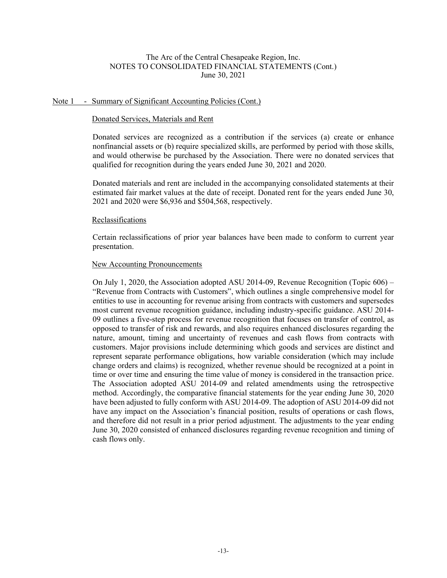# Note 1 - Summary of Significant Accounting Policies (Cont.)

# Donated Services, Materials and Rent

Donated services are recognized as a contribution if the services (a) create or enhance nonfinancial assets or (b) require specialized skills, are performed by period with those skills, and would otherwise be purchased by the Association. There were no donated services that qualified for recognition during the years ended June 30, 2021 and 2020.

Donated materials and rent are included in the accompanying consolidated statements at their estimated fair market values at the date of receipt. Donated rent for the years ended June 30, 2021 and 2020 were \$6,936 and \$504,568, respectively.

#### Reclassifications

Certain reclassifications of prior year balances have been made to conform to current year presentation.

#### New Accounting Pronouncements

On July 1, 2020, the Association adopted ASU 2014-09, Revenue Recognition (Topic 606) – "Revenue from Contracts with Customers", which outlines a single comprehensive model for entities to use in accounting for revenue arising from contracts with customers and supersedes most current revenue recognition guidance, including industry-specific guidance. ASU 2014- 09 outlines a five-step process for revenue recognition that focuses on transfer of control, as opposed to transfer of risk and rewards, and also requires enhanced disclosures regarding the nature, amount, timing and uncertainty of revenues and cash flows from contracts with customers. Major provisions include determining which goods and services are distinct and represent separate performance obligations, how variable consideration (which may include change orders and claims) is recognized, whether revenue should be recognized at a point in time or over time and ensuring the time value of money is considered in the transaction price. The Association adopted ASU 2014-09 and related amendments using the retrospective method. Accordingly, the comparative financial statements for the year ending June 30, 2020 have been adjusted to fully conform with ASU 2014-09. The adoption of ASU 2014-09 did not have any impact on the Association's financial position, results of operations or cash flows, and therefore did not result in a prior period adjustment. The adjustments to the year ending June 30, 2020 consisted of enhanced disclosures regarding revenue recognition and timing of cash flows only.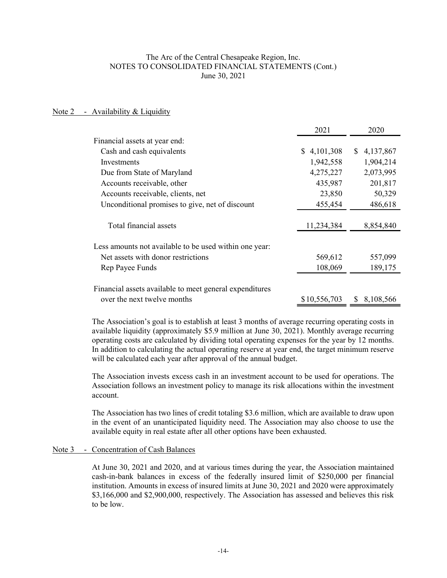# Note 2 - Availability & Liquidity

| The Arc of the Central Chesapeake Region, Inc.<br>NOTES TO CONSOLIDATED FINANCIAL STATEMENTS (Cont.)<br>June 30, 2021 |              |             |
|-----------------------------------------------------------------------------------------------------------------------|--------------|-------------|
| <b>Availability &amp; Liquidity</b>                                                                                   |              |             |
|                                                                                                                       | 2021         | 2020        |
| Financial assets at year end:                                                                                         |              |             |
| Cash and cash equivalents                                                                                             | \$4,101,308  | \$4,137,867 |
| Investments                                                                                                           | 1,942,558    | 1,904,214   |
| Due from State of Maryland                                                                                            | 4,275,227    | 2,073,995   |
| Accounts receivable, other                                                                                            | 435,987      | 201,817     |
| Accounts receivable, clients, net                                                                                     | 23,850       | 50,329      |
| Unconditional promises to give, net of discount                                                                       | 455,454      | 486,618     |
| Total financial assets                                                                                                | 11,234,384   | 8,854,840   |
| Less amounts not available to be used within one year:                                                                |              |             |
| Net assets with donor restrictions                                                                                    | 569,612      | 557,099     |
| Rep Payee Funds                                                                                                       | 108,069      | 189,175     |
|                                                                                                                       |              |             |
| Financial assets available to meet general expenditures                                                               |              |             |
| over the next twelve months                                                                                           | \$10,556,703 | \$8,108,566 |

The Association's goal is to establish at least 3 months of average recurring operating costs in available liquidity (approximately \$5.9 million at June 30, 2021). Monthly average recurring operating costs are calculated by dividing total operating expenses for the year by 12 months. In addition to calculating the actual operating reserve at year end, the target minimum reserve will be calculated each year after approval of the annual budget.

The Association invests excess cash in an investment account to be used for operations. The Association follows an investment policy to manage its risk allocations within the investment account.

The Association has two lines of credit totaling \$3.6 million, which are available to draw upon in the event of an unanticipated liquidity need. The Association may also choose to use the available equity in real estate after all other options have been exhausted.

# Note 3 - Concentration of Cash Balances

At June 30, 2021 and 2020, and at various times during the year, the Association maintained cash-in-bank balances in excess of the federally insured limit of \$250,000 per financial institution. Amounts in excess of insured limits at June 30, 2021 and 2020 were approximately \$3,166,000 and \$2,900,000, respectively. The Association has assessed and believes this risk to be low.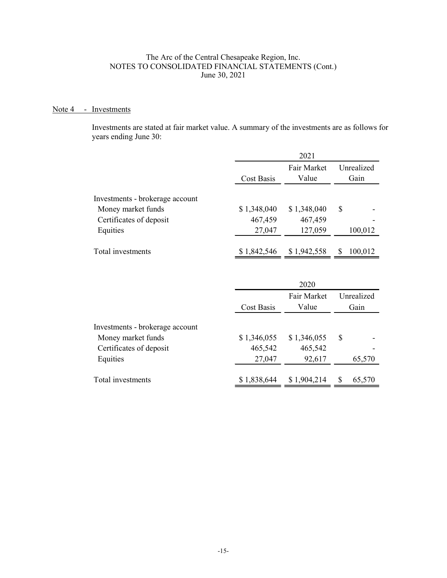# Note 4 - Investments

| The Arc of the Central Chesapeake Region, Inc.<br>NOTES TO CONSOLIDATED FINANCIAL STATEMENTS (Cont.)                  | June 30, 2021 |                      |                    |
|-----------------------------------------------------------------------------------------------------------------------|---------------|----------------------|--------------------|
|                                                                                                                       |               |                      |                    |
| Investments                                                                                                           |               |                      |                    |
| Investments are stated at fair market value. A summary of the investments are as follows for<br>years ending June 30: |               |                      |                    |
|                                                                                                                       |               | 2021                 |                    |
|                                                                                                                       | Cost Basis    | Fair Market<br>Value | Unrealized<br>Gain |
| Investments - brokerage account                                                                                       |               |                      |                    |
| Money market funds                                                                                                    | \$1,348,040   | \$1,348,040          | \$                 |
| Certificates of deposit                                                                                               | 467,459       | 467,459              |                    |
| Equities                                                                                                              | 27,047        | 127,059              | 100,012            |
| Total investments                                                                                                     | \$1,842,546   | \$1,942,558          | \$100,012          |
|                                                                                                                       |               | 2020                 |                    |
|                                                                                                                       |               | Fair Market          | Unrealized         |
|                                                                                                                       | Cost Basis    | Value                | Gain               |
| Investments - brokerage account                                                                                       |               |                      |                    |
| Money market funds                                                                                                    | \$1,346,055   | \$1,346,055          | \$                 |
| Certificates of deposit                                                                                               | 465,542       | 465,542              |                    |
| Equities                                                                                                              | 27,047        | 92,617               | 65,570             |
| Total investments                                                                                                     | \$1,838,644   | \$1,904,214          | \$<br>65,570       |

|                                 | Cost Basis  | Fair Market<br>Value |      | Unrealized<br>Gain |
|---------------------------------|-------------|----------------------|------|--------------------|
| Investments - brokerage account |             |                      |      |                    |
| Money market funds              | \$1,348,040 | \$1,348,040          | $\$$ |                    |
| Certificates of deposit         | 467,459     | 467,459              |      |                    |
| Equities                        | 27,047      | 127,059              |      | 100,012            |
| Total investments               | \$1,842,546 | \$1,942,558          | \$   | 100,012            |
|                                 |             |                      |      |                    |
|                                 |             | 2020                 |      |                    |
|                                 |             | Fair Market          |      | Unrealized         |
|                                 | Cost Basis  | Value                |      | Gain               |
| Investments - brokerage account |             |                      |      |                    |
| Money market funds              | \$1,346,055 | \$1,346,055          | \$   |                    |
| Certificates of deposit         | 465,542     | 465,542              |      |                    |
|                                 | 27,047      | 92,617               |      | 65,570             |
| Equities                        |             |                      |      |                    |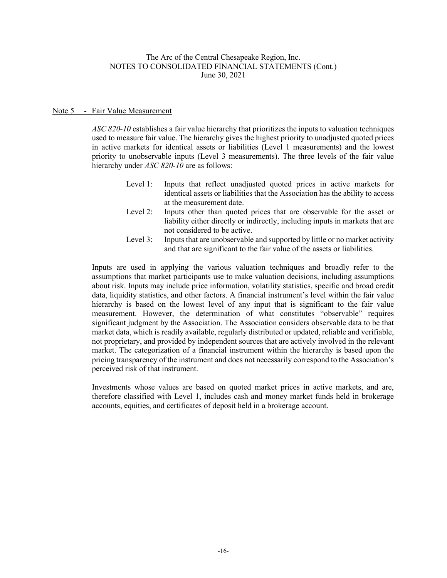#### Note 5 - Fair Value Measurement

ASC 820-10 establishes a fair value hierarchy that prioritizes the inputs to valuation techniques used to measure fair value. The hierarchy gives the highest priority to unadjusted quoted prices in active markets for identical assets or liabilities (Level 1 measurements) and the lowest priority to unobservable inputs (Level 3 measurements). The three levels of the fair value hierarchy under ASC 820-10 are as follows:

- Level 1: Inputs that reflect unadjusted quoted prices in active markets for identical assets or liabilities that the Association has the ability to access at the measurement date.
- Level 2: Inputs other than quoted prices that are observable for the asset or liability either directly or indirectly, including inputs in markets that are not considered to be active.
- Level 3: Inputs that are unobservable and supported by little or no market activity and that are significant to the fair value of the assets or liabilities.

Inputs are used in applying the various valuation techniques and broadly refer to the assumptions that market participants use to make valuation decisions, including assumptions about risk. Inputs may include price information, volatility statistics, specific and broad credit data, liquidity statistics, and other factors. A financial instrument's level within the fair value hierarchy is based on the lowest level of any input that is significant to the fair value measurement. However, the determination of what constitutes "observable" requires significant judgment by the Association. The Association considers observable data to be that market data, which is readily available, regularly distributed or updated, reliable and verifiable, not proprietary, and provided by independent sources that are actively involved in the relevant market. The categorization of a financial instrument within the hierarchy is based upon the pricing transparency of the instrument and does not necessarily correspond to the Association's perceived risk of that instrument.

Investments whose values are based on quoted market prices in active markets, and are, therefore classified with Level 1, includes cash and money market funds held in brokerage accounts, equities, and certificates of deposit held in a brokerage account.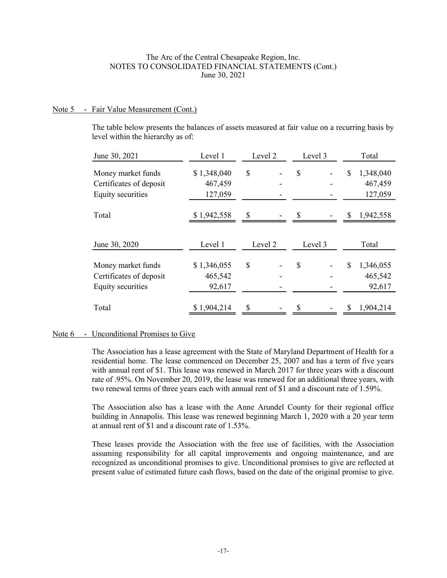# Note 5 - Fair Value Measurement (Cont.)

|                                                                                                | June 30, 2021     |              |         |         |  |                   |
|------------------------------------------------------------------------------------------------|-------------------|--------------|---------|---------|--|-------------------|
|                                                                                                |                   |              |         |         |  |                   |
| Fair Value Measurement (Cont.)                                                                 |                   |              |         |         |  |                   |
| The table below presents the balances of assets measured at fair value on a recurring basis by |                   |              |         |         |  |                   |
| level within the hierarchy as of:                                                              |                   |              |         |         |  |                   |
| June 30, 2021                                                                                  | Level 1           |              | Level 2 | Level 3 |  | Total             |
| Money market funds                                                                             | \$1,348,040       | $\mathbb{S}$ |         | S       |  | 1,348,040         |
| Certificates of deposit                                                                        | 467,459           |              |         |         |  | 467,459           |
| <b>Equity securities</b>                                                                       | 127,059           |              |         |         |  | 127,059           |
|                                                                                                |                   |              |         |         |  | 1,942,558         |
| Total                                                                                          | 1,942,558         |              |         |         |  |                   |
| June 30, 2020                                                                                  | Level 1           |              | Level 2 | Level 3 |  | Total             |
|                                                                                                |                   |              |         |         |  |                   |
| Money market funds                                                                             | \$1,346,055       | \$           |         | \$      |  | 1,346,055         |
| Certificates of deposit<br>Equity securities                                                   | 465,542<br>92,617 |              |         |         |  | 465,542<br>92,617 |

#### Note 6 - Unconditional Promises to Give

The Association has a lease agreement with the State of Maryland Department of Health for a residential home. The lease commenced on December 25, 2007 and has a term of five years with annual rent of \$1. This lease was renewed in March 2017 for three years with a discount rate of .95%. On November 20, 2019, the lease was renewed for an additional three years, with two renewal terms of three years each with annual rent of \$1 and a discount rate of 1.59%.

The Association also has a lease with the Anne Arundel County for their regional office building in Annapolis. This lease was renewed beginning March 1, 2020 with a 20 year term at annual rent of \$1 and a discount rate of 1.53%.

These leases provide the Association with the free use of facilities, with the Association assuming responsibility for all capital improvements and ongoing maintenance, and are recognized as unconditional promises to give. Unconditional promises to give are reflected at present value of estimated future cash flows, based on the date of the original promise to give.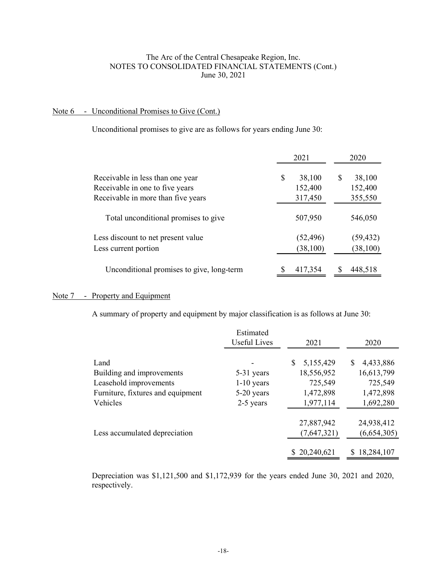# Note 6 - Unconditional Promises to Give (Cont.)

| The Two of the central chesapeare region, the.<br>NOTES TO CONSOLIDATED FINANCIAL STATEMENTS (Cont.)<br>June 30, 2021 |                    |                    |
|-----------------------------------------------------------------------------------------------------------------------|--------------------|--------------------|
| <b>Unconditional Promises to Give (Cont.)</b>                                                                         |                    |                    |
| Unconditional promises to give are as follows for years ending June 30:                                               |                    |                    |
|                                                                                                                       | 2021               | 2020               |
| Receivable in less than one year                                                                                      | 38,100<br>\$       | 38,100<br>\$       |
| Receivable in one to five years<br>Receivable in more than five years                                                 | 152,400<br>317,450 | 152,400<br>355,550 |
| Total unconditional promises to give                                                                                  | 507,950            | 546,050            |
| Less discount to net present value                                                                                    | (52, 496)          | (59, 432)          |
| Less current portion                                                                                                  | (38,100)           | (38,100)           |
| Unconditional promises to give, long-term                                                                             | 417,354            | 448,518            |
| <b>Property and Equipment</b>                                                                                         |                    |                    |
| A summary of property and equipment by major classification is as follows at June 30:                                 |                    |                    |

# Note 7 - Property and Equipment

| Estimated<br><b>Useful Lives</b> | 2021       | 2020                                                   |
|----------------------------------|------------|--------------------------------------------------------|
|                                  |            |                                                        |
|                                  |            | 4,433,886<br>S.                                        |
| 5-31 years                       | 18,556,952 | 16,613,799                                             |
| $1-10$ years                     | 725,549    | 725,549                                                |
| 5-20 years                       | 1,472,898  | 1,472,898                                              |
| 2-5 years                        | 1,977,114  | 1,692,280                                              |
|                                  |            |                                                        |
|                                  |            | 24,938,412                                             |
|                                  |            | (6,654,305)                                            |
|                                  |            | 18,284,107                                             |
|                                  |            | 5,155,429<br>27,887,942<br>(7,647,321)<br>\$20,240,621 |

Depreciation was \$1,121,500 and \$1,172,939 for the years ended June 30, 2021 and 2020, respectively.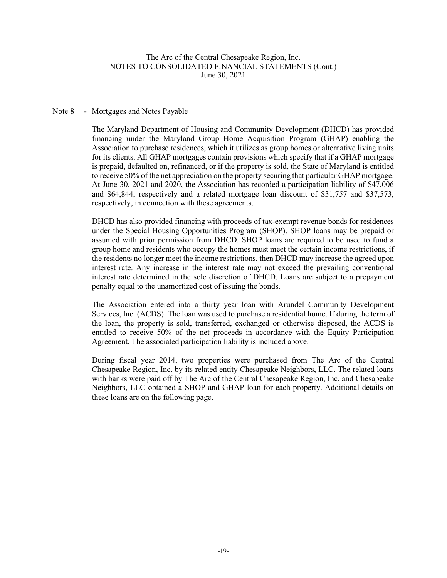#### Note 8 - Mortgages and Notes Payable

The Maryland Department of Housing and Community Development (DHCD) has provided financing under the Maryland Group Home Acquisition Program (GHAP) enabling the Association to purchase residences, which it utilizes as group homes or alternative living units for its clients. All GHAP mortgages contain provisions which specify that if a GHAP mortgage is prepaid, defaulted on, refinanced, or if the property is sold, the State of Maryland is entitled to receive 50% of the net appreciation on the property securing that particular GHAP mortgage. At June 30, 2021 and 2020, the Association has recorded a participation liability of \$47,006 and \$64,844, respectively and a related mortgage loan discount of \$31,757 and \$37,573, respectively, in connection with these agreements.

DHCD has also provided financing with proceeds of tax-exempt revenue bonds for residences under the Special Housing Opportunities Program (SHOP). SHOP loans may be prepaid or assumed with prior permission from DHCD. SHOP loans are required to be used to fund a group home and residents who occupy the homes must meet the certain income restrictions, if the residents no longer meet the income restrictions, then DHCD may increase the agreed upon interest rate. Any increase in the interest rate may not exceed the prevailing conventional interest rate determined in the sole discretion of DHCD. Loans are subject to a prepayment penalty equal to the unamortized cost of issuing the bonds.

The Association entered into a thirty year loan with Arundel Community Development Services, Inc. (ACDS). The loan was used to purchase a residential home. If during the term of the loan, the property is sold, transferred, exchanged or otherwise disposed, the ACDS is entitled to receive 50% of the net proceeds in accordance with the Equity Participation Agreement. The associated participation liability is included above.

During fiscal year 2014, two properties were purchased from The Arc of the Central Chesapeake Region, Inc. by its related entity Chesapeake Neighbors, LLC. The related loans with banks were paid off by The Arc of the Central Chesapeake Region, Inc. and Chesapeake Neighbors, LLC obtained a SHOP and GHAP loan for each property. Additional details on these loans are on the following page.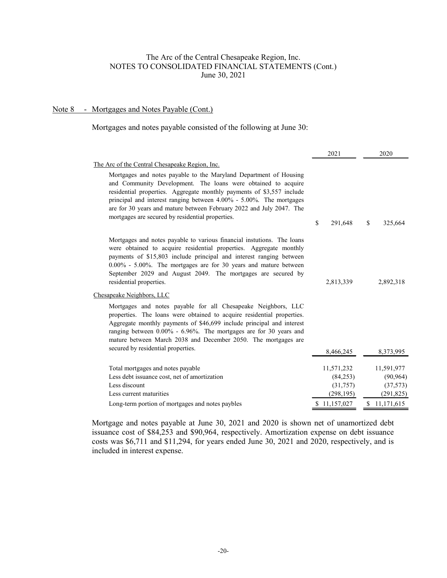# Note 8 - Mortgages and Notes Payable (Cont.)

| The Arc of the Central Chesapeake Region, Inc.<br>NOTES TO CONSOLIDATED FINANCIAL STATEMENTS (Cont.)                                         |                            |                            |  |
|----------------------------------------------------------------------------------------------------------------------------------------------|----------------------------|----------------------------|--|
| June 30, 2021                                                                                                                                |                            |                            |  |
|                                                                                                                                              |                            |                            |  |
| Mortgages and Notes Payable (Cont.)                                                                                                          |                            |                            |  |
| Mortgages and notes payable consisted of the following at June 30:                                                                           |                            |                            |  |
|                                                                                                                                              |                            |                            |  |
|                                                                                                                                              | 2021                       | 2020                       |  |
| The Arc of the Central Chesapeake Region, Inc.                                                                                               |                            |                            |  |
| Mortgages and notes payable to the Maryland Department of Housing<br>and Community Development. The loans were obtained to acquire           |                            |                            |  |
| residential properties. Aggregate monthly payments of \$3,557 include<br>principal and interest ranging between 4.00% - 5.00%. The mortgages |                            |                            |  |
| are for 30 years and mature between February 2022 and July 2047. The<br>mortgages are secured by residential properties.                     |                            |                            |  |
|                                                                                                                                              | 291,648<br>S               | 325,664                    |  |
| Mortgages and notes payable to various financial instutions. The loans                                                                       |                            |                            |  |
| were obtained to acquire residential properties. Aggregate monthly<br>payments of \$15,803 include principal and interest ranging between    |                            |                            |  |
| 0.00% - 5.00%. The mortgages are for 30 years and mature between<br>September 2029 and August 2049. The mortgages are secured by             |                            |                            |  |
| residential properties.                                                                                                                      | 2,813,339                  | 2,892,318                  |  |
| Chesapeake Neighbors, LLC                                                                                                                    |                            |                            |  |
| Mortgages and notes payable for all Chesapeake Neighbors, LLC<br>properties. The loans were obtained to acquire residential properties.      |                            |                            |  |
| Aggregate monthly payments of \$46,699 include principal and interest<br>ranging between 0.00% - 6.96%. The mortgages are for 30 years and   |                            |                            |  |
| mature between March 2038 and December 2050. The mortgages are                                                                               |                            |                            |  |
| secured by residential properties.                                                                                                           | 8,466,245                  | 8,373,995                  |  |
| Total mortgages and notes payable<br>Less debt issuance cost, net of amortization                                                            | 11,571,232                 | 11,591,977                 |  |
| Less discount                                                                                                                                | (84,253)<br>(31,757)       | (90, 964)<br>(37,573)      |  |
| Less current maturities<br>Long-term portion of mortgages and notes paybles                                                                  | (298, 195)<br>\$11,157,027 | (291, 825)<br>\$11,171,615 |  |
|                                                                                                                                              |                            |                            |  |

Mortgage and notes payable at June 30, 2021 and 2020 is shown net of unamortized debt issuance cost of \$84,253 and \$90,964, respectively. Amortization expense on debt issuance costs was \$6,711 and \$11,294, for years ended June 30, 2021 and 2020, respectively, and is included in interest expense.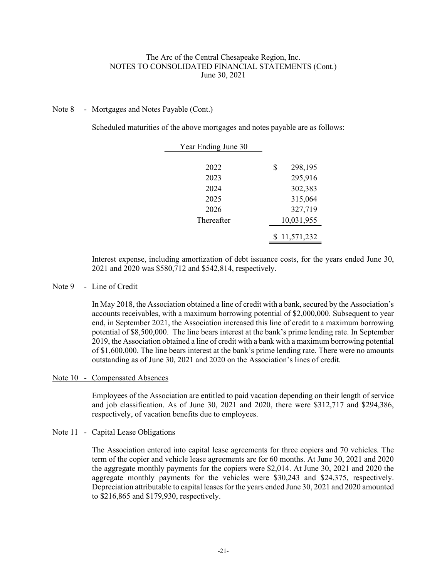# Note 8 - Mortgages and Notes Payable (Cont.)

Scheduled maturities of the above mortgages and notes payable are as follows:

| c of the Central Chesapeake Region, Inc.<br>SOLIDATED FINANCIAL STATEMENTS (Cont.) |                          |  |
|------------------------------------------------------------------------------------|--------------------------|--|
| June 30, 2021                                                                      |                          |  |
|                                                                                    |                          |  |
| ayable (Cont.)                                                                     |                          |  |
|                                                                                    |                          |  |
| the above mortgages and notes payable are as follows:                              |                          |  |
| Year Ending June 30                                                                |                          |  |
|                                                                                    |                          |  |
|                                                                                    |                          |  |
| 2022<br>2023                                                                       | \$<br>298,195<br>295,916 |  |
| 2024                                                                               | 302,383                  |  |
| 2025                                                                               | 315,064                  |  |
| 2026                                                                               | 327,719                  |  |
| Thereafter                                                                         | 10,031,955               |  |
|                                                                                    | \$11,571,232             |  |

Interest expense, including amortization of debt issuance costs, for the years ended June 30, 2021 and 2020 was \$580,712 and \$542,814, respectively.

# Note 9 - Line of Credit

In May 2018, the Association obtained a line of credit with a bank, secured by the Association's accounts receivables, with a maximum borrowing potential of \$2,000,000. Subsequent to year end, in September 2021, the Association increased this line of credit to a maximum borrowing potential of \$8,500,000. The line bears interest at the bank's prime lending rate. In September 2019, the Association obtained a line of credit with a bank with a maximum borrowing potential of \$1,600,000. The line bears interest at the bank's prime lending rate. There were no amounts outstanding as of June 30, 2021 and 2020 on the Association's lines of credit.

#### Note 10 - Compensated Absences

Employees of the Association are entitled to paid vacation depending on their length of service and job classification. As of June 30, 2021 and 2020, there were \$312,717 and \$294,386, respectively, of vacation benefits due to employees.

#### Note 11 - Capital Lease Obligations

The Association entered into capital lease agreements for three copiers and 70 vehicles. The term of the copier and vehicle lease agreements are for 60 months. At June 30, 2021 and 2020 the aggregate monthly payments for the copiers were \$2,014. At June 30, 2021 and 2020 the aggregate monthly payments for the vehicles were \$30,243 and \$24,375, respectively. Depreciation attributable to capital leases for the years ended June 30, 2021 and 2020 amounted to \$216,865 and \$179,930, respectively.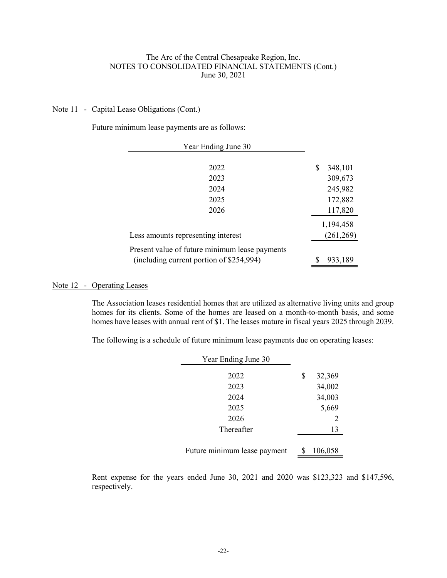# Note 11 - Capital Lease Obligations (Cont.)

Future minimum lease payments are as follows:

| The Arc of the Central Chesapeake Region, Inc.<br>TES TO CONSOLIDATED FINANCIAL STATEMENTS (Cont.)                                                                                                                                                                     |               |  |
|------------------------------------------------------------------------------------------------------------------------------------------------------------------------------------------------------------------------------------------------------------------------|---------------|--|
| June 30, 2021                                                                                                                                                                                                                                                          |               |  |
|                                                                                                                                                                                                                                                                        |               |  |
| ease Obligations (Cont.)                                                                                                                                                                                                                                               |               |  |
| nimum lease payments are as follows:                                                                                                                                                                                                                                   |               |  |
| Year Ending June 30                                                                                                                                                                                                                                                    |               |  |
| 2022                                                                                                                                                                                                                                                                   | \$<br>348,101 |  |
| 2023                                                                                                                                                                                                                                                                   | 309,673       |  |
| 2024                                                                                                                                                                                                                                                                   | 245,982       |  |
| 2025                                                                                                                                                                                                                                                                   | 172,882       |  |
| 2026                                                                                                                                                                                                                                                                   | 117,820       |  |
|                                                                                                                                                                                                                                                                        | 1,194,458     |  |
| Less amounts representing interest                                                                                                                                                                                                                                     | (261, 269)    |  |
| Present value of future minimum lease payments<br>(including current portion of \$254,994)                                                                                                                                                                             | 933,189       |  |
|                                                                                                                                                                                                                                                                        |               |  |
| Leases                                                                                                                                                                                                                                                                 |               |  |
| ciation leases residential homes that are utilized as alternative living units and group<br>r its clients. Some of the homes are leased on a month-to-month basis, and some<br>ve leases with annual rent of \$1. The leases mature in fiscal years 2025 through 2039. |               |  |
| wing is a schedule of future minimum lease payments due on operating leases:                                                                                                                                                                                           |               |  |
| Year Ending June 30                                                                                                                                                                                                                                                    |               |  |
| 2022                                                                                                                                                                                                                                                                   | \$<br>32,369  |  |
| 2023                                                                                                                                                                                                                                                                   | 34,002        |  |
| 2024                                                                                                                                                                                                                                                                   | 34,003        |  |
| 2025                                                                                                                                                                                                                                                                   | 5,669         |  |
| 2026                                                                                                                                                                                                                                                                   | 2             |  |

# Note 12 - Operating Leases

The Association leases residential homes that are utilized as alternative living units and group homes for its clients. Some of the homes are leased on a month-to-month basis, and some homes have leases with annual rent of \$1. The leases mature in fiscal years 2025 through 2039.

The following is a schedule of future minimum lease payments due on operating leases:

| 2026                                                                                                                                                                                                                                                                         | 172,882      |
|------------------------------------------------------------------------------------------------------------------------------------------------------------------------------------------------------------------------------------------------------------------------------|--------------|
|                                                                                                                                                                                                                                                                              | 117,820      |
|                                                                                                                                                                                                                                                                              | 1,194,458    |
| epresenting interest                                                                                                                                                                                                                                                         | (261, 269)   |
| f future minimum lease payments                                                                                                                                                                                                                                              |              |
| rent portion of \$254,994)                                                                                                                                                                                                                                                   | 933,189      |
| dential homes that are utilized as alternative living units and group<br>e of the homes are leased on a month-to-month basis, and some<br>ual rent of \$1. The leases mature in fiscal years 2025 through 2039.<br>of future minimum lease payments due on operating leases: |              |
|                                                                                                                                                                                                                                                                              |              |
| Year Ending June 30                                                                                                                                                                                                                                                          |              |
| 2022                                                                                                                                                                                                                                                                         | \$<br>32,369 |
| 2023                                                                                                                                                                                                                                                                         | 34,002       |
| 2024                                                                                                                                                                                                                                                                         | 34,003       |
| 2025                                                                                                                                                                                                                                                                         | 5,669        |
| 2026                                                                                                                                                                                                                                                                         | 2            |
| Thereafter                                                                                                                                                                                                                                                                   | 13           |

Rent expense for the years ended June 30, 2021 and 2020 was \$123,323 and \$147,596, respectively.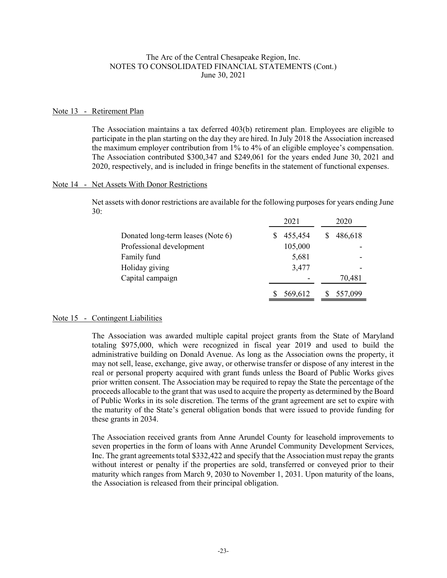# Note 13 - Retirement Plan

The Association maintains a tax deferred 403(b) retirement plan. Employees are eligible to participate in the plan starting on the day they are hired. In July 2018 the Association increased the maximum employer contribution from 1% to 4% of an eligible employee's compensation. The Association contributed \$300,347 and \$249,061 for the years ended June 30, 2021 and 2020, respectively, and is included in fringe benefits in the statement of functional expenses. 1. Inc.<br>
MENTS (Cont.)<br>
the plan. Employees are eligible to<br>
dly 2018 the Association increased<br>
ligible employee's compensation.<br>
the years ended June 30, 2021 and<br>
tatement of functional expenses.<br>
ing purposes for years

# Note 14 - Net Assets With Donor Restrictions

Net assets with donor restrictions are available for the following purposes for years ending June 30:

| The Arc of the Central Chesapeake Region, Inc.<br>OTES TO CONSOLIDATED FINANCIAL STATEMENTS (Cont.)<br>June 30, 2021                                                                                                                                                                                                                                                                                                                                                                  |                |           |  |
|---------------------------------------------------------------------------------------------------------------------------------------------------------------------------------------------------------------------------------------------------------------------------------------------------------------------------------------------------------------------------------------------------------------------------------------------------------------------------------------|----------------|-----------|--|
| ent Plan                                                                                                                                                                                                                                                                                                                                                                                                                                                                              |                |           |  |
| ociation maintains a tax deferred 403(b) retirement plan. Employees are eligible to<br>ate in the plan starting on the day they are hired. In July 2018 the Association increased<br>imum employer contribution from 1% to 4% of an eligible employee's compensation.<br>ociation contributed \$300,347 and \$249,061 for the years ended June 30, 2021 and<br>spectively, and is included in fringe benefits in the statement of functional expenses.<br>ets With Donor Restrictions |                |           |  |
| ts with donor restrictions are available for the following purposes for years ending June                                                                                                                                                                                                                                                                                                                                                                                             | 2021           | 2020      |  |
|                                                                                                                                                                                                                                                                                                                                                                                                                                                                                       |                |           |  |
| Donated long-term leases (Note 6)                                                                                                                                                                                                                                                                                                                                                                                                                                                     | \$455,454      | \$486,618 |  |
| Professional development                                                                                                                                                                                                                                                                                                                                                                                                                                                              | 105,000        |           |  |
| Family fund                                                                                                                                                                                                                                                                                                                                                                                                                                                                           | 5,681<br>3,477 |           |  |
| Holiday giving<br>Capital campaign                                                                                                                                                                                                                                                                                                                                                                                                                                                    |                | 70,481    |  |
|                                                                                                                                                                                                                                                                                                                                                                                                                                                                                       |                |           |  |
|                                                                                                                                                                                                                                                                                                                                                                                                                                                                                       | 569,612        | 557,099   |  |
| ent Liabilities                                                                                                                                                                                                                                                                                                                                                                                                                                                                       |                |           |  |
|                                                                                                                                                                                                                                                                                                                                                                                                                                                                                       |                |           |  |

# Note 15 - Contingent Liabilities

The Association was awarded multiple capital project grants from the State of Maryland totaling \$975,000, which were recognized in fiscal year 2019 and used to build the administrative building on Donald Avenue. As long as the Association owns the property, it may not sell, lease, exchange, give away, or otherwise transfer or dispose of any interest in the real or personal property acquired with grant funds unless the Board of Public Works gives prior written consent. The Association may be required to repay the State the percentage of the proceeds allocable to the grant that was used to acquire the property as determined by the Board of Public Works in its sole discretion. The terms of the grant agreement are set to expire with the maturity of the State's general obligation bonds that were issued to provide funding for these grants in 2034.

The Association received grants from Anne Arundel County for leasehold improvements to seven properties in the form of loans with Anne Arundel Community Development Services, Inc. The grant agreements total \$332,422 and specify that the Association must repay the grants without interest or penalty if the properties are sold, transferred or conveyed prior to their maturity which ranges from March 9, 2030 to November 1, 2031. Upon maturity of the loans, the Association is released from their principal obligation.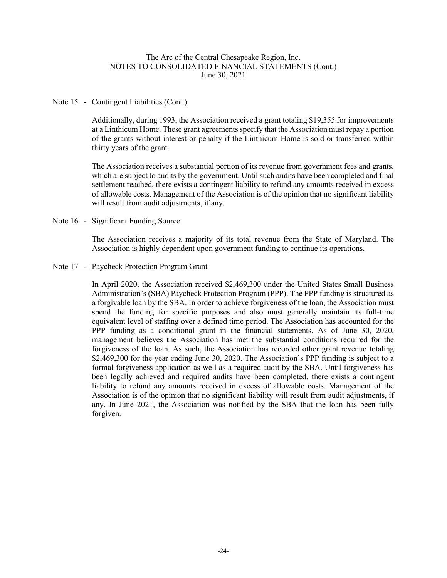#### Note 15 - Contingent Liabilities (Cont.)

Additionally, during 1993, the Association received a grant totaling \$19,355 for improvements at a Linthicum Home. These grant agreements specify that the Association must repay a portion of the grants without interest or penalty if the Linthicum Home is sold or transferred within thirty years of the grant.

The Association receives a substantial portion of its revenue from government fees and grants, which are subject to audits by the government. Until such audits have been completed and final settlement reached, there exists a contingent liability to refund any amounts received in excess of allowable costs. Management of the Association is of the opinion that no significant liability will result from audit adjustments, if any.

# Note 16 - Significant Funding Source

The Association receives a majority of its total revenue from the State of Maryland. The Association is highly dependent upon government funding to continue its operations.

#### Note 17 - Paycheck Protection Program Grant

In April 2020, the Association received \$2,469,300 under the United States Small Business Administration's (SBA) Paycheck Protection Program (PPP). The PPP funding is structured as a forgivable loan by the SBA. In order to achieve forgiveness of the loan, the Association must spend the funding for specific purposes and also must generally maintain its full-time equivalent level of staffing over a defined time period. The Association has accounted for the PPP funding as a conditional grant in the financial statements. As of June 30, 2020, management believes the Association has met the substantial conditions required for the forgiveness of the loan. As such, the Association has recorded other grant revenue totaling \$2,469,300 for the year ending June 30, 2020. The Association's PPP funding is subject to a formal forgiveness application as well as a required audit by the SBA. Until forgiveness has been legally achieved and required audits have been completed, there exists a contingent liability to refund any amounts received in excess of allowable costs. Management of the Association is of the opinion that no significant liability will result from audit adjustments, if any. In June 2021, the Association was notified by the SBA that the loan has been fully forgiven.